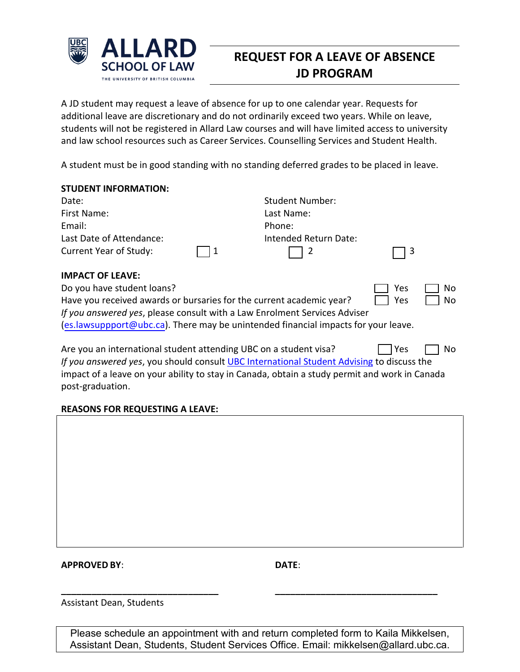

## **REQUEST FOR A LEAVE OF ABSENCE JD PROGRAM**

A JD student may request a leave of absence for up to one calendar year. Requests for additional leave are discretionary and do not ordinarily exceed two years. While on leave, students will not be registered in Allard Law courses and will have limited access to university and law school resources such as Career Services. Counselling Services and Student Health.

A student must be in good standing with no standing deferred grades to be placed in leave.

| <b>Student Number:</b> |                                                                                                                                                   |
|------------------------|---------------------------------------------------------------------------------------------------------------------------------------------------|
| Last Name:             |                                                                                                                                                   |
| Phone:                 |                                                                                                                                                   |
| Intended Return Date:  |                                                                                                                                                   |
| 2                      | l 3                                                                                                                                               |
|                        |                                                                                                                                                   |
|                        | Yes<br>No                                                                                                                                         |
|                        | No<br>Yes                                                                                                                                         |
|                        | Have you received awards or bursaries for the current academic year?<br>If you answered yes, please consult with a Law Enrolment Services Adviser |

[\(es.lawsuppport@ubc.ca\).](mailto:es.lawsuppport@ubc.ca) There may be unintended financial impacts for your leave.

Are you an international student attending UBC on a student visa?  $\Box$  Yes  $\Box$  No *If you answered yes*, you should consul[t UBC International Student Advising](https://students.ubc.ca/about-student-services/international-student-advising) to discuss the impact of a leave on your ability to stay in Canada, obtain a study permit and work in Canada post-graduation.

## **REASONS FOR REQUESTING A LEAVE:**

## **APPROVED BY**: **DATE**:

Assistant Dean, Students

Please schedule an appointment with and return completed form to Kaila Mikkelsen, Assistant Dean, Students, Student Services Office. Email: mikkelsen@allard.ubc.ca.

**\_\_\_\_\_\_\_\_\_\_\_\_\_\_\_\_\_\_\_\_\_\_\_\_\_\_\_\_\_\_\_ \_\_\_\_\_\_\_\_\_\_\_\_\_\_\_\_\_\_\_\_\_\_\_\_\_\_\_\_\_\_\_\_**